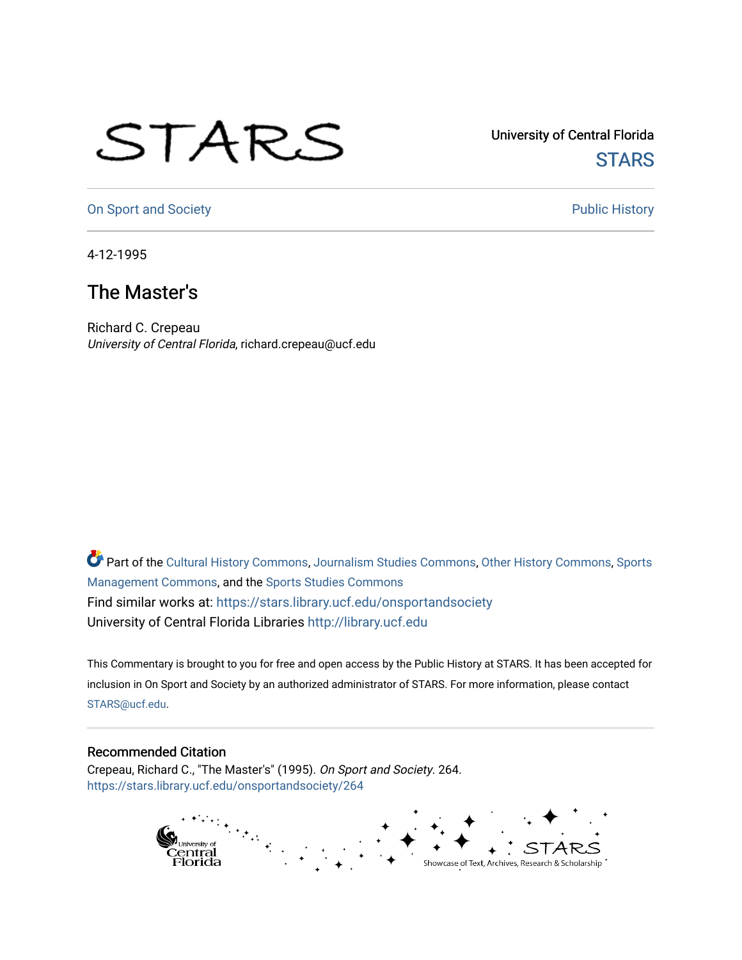## STARS

University of Central Florida **STARS** 

[On Sport and Society](https://stars.library.ucf.edu/onsportandsociety) **Public History** Public History

4-12-1995

## The Master's

Richard C. Crepeau University of Central Florida, richard.crepeau@ucf.edu

Part of the [Cultural History Commons](http://network.bepress.com/hgg/discipline/496?utm_source=stars.library.ucf.edu%2Fonsportandsociety%2F264&utm_medium=PDF&utm_campaign=PDFCoverPages), [Journalism Studies Commons,](http://network.bepress.com/hgg/discipline/333?utm_source=stars.library.ucf.edu%2Fonsportandsociety%2F264&utm_medium=PDF&utm_campaign=PDFCoverPages) [Other History Commons,](http://network.bepress.com/hgg/discipline/508?utm_source=stars.library.ucf.edu%2Fonsportandsociety%2F264&utm_medium=PDF&utm_campaign=PDFCoverPages) [Sports](http://network.bepress.com/hgg/discipline/1193?utm_source=stars.library.ucf.edu%2Fonsportandsociety%2F264&utm_medium=PDF&utm_campaign=PDFCoverPages) [Management Commons](http://network.bepress.com/hgg/discipline/1193?utm_source=stars.library.ucf.edu%2Fonsportandsociety%2F264&utm_medium=PDF&utm_campaign=PDFCoverPages), and the [Sports Studies Commons](http://network.bepress.com/hgg/discipline/1198?utm_source=stars.library.ucf.edu%2Fonsportandsociety%2F264&utm_medium=PDF&utm_campaign=PDFCoverPages) Find similar works at: <https://stars.library.ucf.edu/onsportandsociety> University of Central Florida Libraries [http://library.ucf.edu](http://library.ucf.edu/) 

This Commentary is brought to you for free and open access by the Public History at STARS. It has been accepted for inclusion in On Sport and Society by an authorized administrator of STARS. For more information, please contact [STARS@ucf.edu](mailto:STARS@ucf.edu).

## Recommended Citation

Crepeau, Richard C., "The Master's" (1995). On Sport and Society. 264. [https://stars.library.ucf.edu/onsportandsociety/264](https://stars.library.ucf.edu/onsportandsociety/264?utm_source=stars.library.ucf.edu%2Fonsportandsociety%2F264&utm_medium=PDF&utm_campaign=PDFCoverPages)

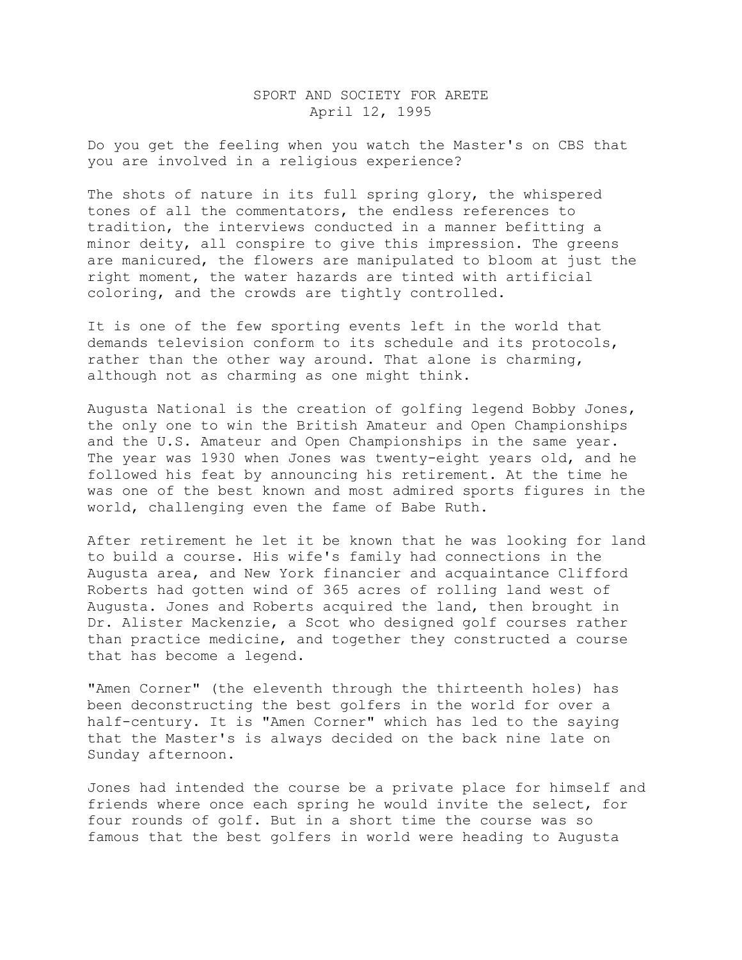## SPORT AND SOCIETY FOR ARETE April 12, 1995

Do you get the feeling when you watch the Master's on CBS that you are involved in a religious experience?

The shots of nature in its full spring glory, the whispered tones of all the commentators, the endless references to tradition, the interviews conducted in a manner befitting a minor deity, all conspire to give this impression. The greens are manicured, the flowers are manipulated to bloom at just the right moment, the water hazards are tinted with artificial coloring, and the crowds are tightly controlled.

It is one of the few sporting events left in the world that demands television conform to its schedule and its protocols, rather than the other way around. That alone is charming, although not as charming as one might think.

Augusta National is the creation of golfing legend Bobby Jones, the only one to win the British Amateur and Open Championships and the U.S. Amateur and Open Championships in the same year. The year was 1930 when Jones was twenty-eight years old, and he followed his feat by announcing his retirement. At the time he was one of the best known and most admired sports figures in the world, challenging even the fame of Babe Ruth.

After retirement he let it be known that he was looking for land to build a course. His wife's family had connections in the Augusta area, and New York financier and acquaintance Clifford Roberts had gotten wind of 365 acres of rolling land west of Augusta. Jones and Roberts acquired the land, then brought in Dr. Alister Mackenzie, a Scot who designed golf courses rather than practice medicine, and together they constructed a course that has become a legend.

"Amen Corner" (the eleventh through the thirteenth holes) has been deconstructing the best golfers in the world for over a half-century. It is "Amen Corner" which has led to the saying that the Master's is always decided on the back nine late on Sunday afternoon.

Jones had intended the course be a private place for himself and friends where once each spring he would invite the select, for four rounds of golf. But in a short time the course was so famous that the best golfers in world were heading to Augusta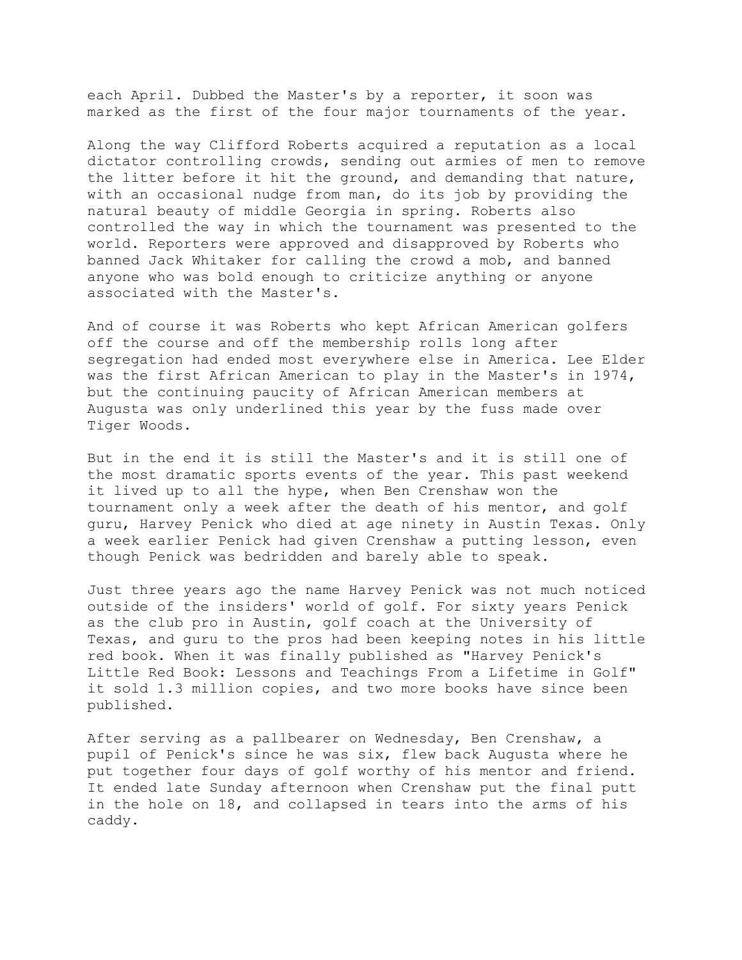each April. Dubbed the Master's by a reporter, it soon was marked as the first of the four major tournaments of the year.

Along the way Clifford Roberts acquired a reputation as a local dictator controlling crowds, sending out armies of men to remove the litter before it hit the ground, and demanding that nature, with an occasional nudge from man, do its job by providing the natural beauty of middle Georgia in spring. Roberts also controlled the way in which the tournament was presented to the world. Reporters were approved and disapproved by Roberts who banned Jack Whitaker for calling the crowd a mob, and banned anyone who was bold enough to criticize anything or anyone associated with the Master's.

And of course it was Roberts who kept African American golfers off the course and off the membership rolls long after segregation had ended most everywhere else in America. Lee Elder was the first African American to play in the Master's in 1974, but the continuing paucity of African American members at Augusta was only underlined this year by the fuss made over Tiger Woods.

But in the end it is still the Master's and it is still one of the most dramatic sports events of the year. This past weekend it lived up to all the hype, when Ben Crenshaw won the tournament only a week after the death of his mentor, and golf guru, Harvey Penick who died at age ninety in Austin Texas. Only a week earlier Penick had given Crenshaw a putting lesson, even though Penick was bedridden and barely able to speak.

Just three years ago the name Harvey Penick was not much noticed outside of the insiders' world of golf. For sixty years Penick as the club pro in Austin, golf coach at the University of Texas, and guru to the pros had been keeping notes in his little red book. When it was finally published as "Harvey Penick's Little Red Book: Lessons and Teachings From a Lifetime in Golf" it sold 1.3 million copies, and two more books have since been published.

After serving as a pallbearer on Wednesday, Ben Crenshaw, a pupil of Penick's since he was six, flew back Augusta where he put together four days of golf worthy of his mentor and friend. It ended late Sunday afternoon when Crenshaw put the final putt in the hole on 18, and collapsed in tears into the arms of his caddy.